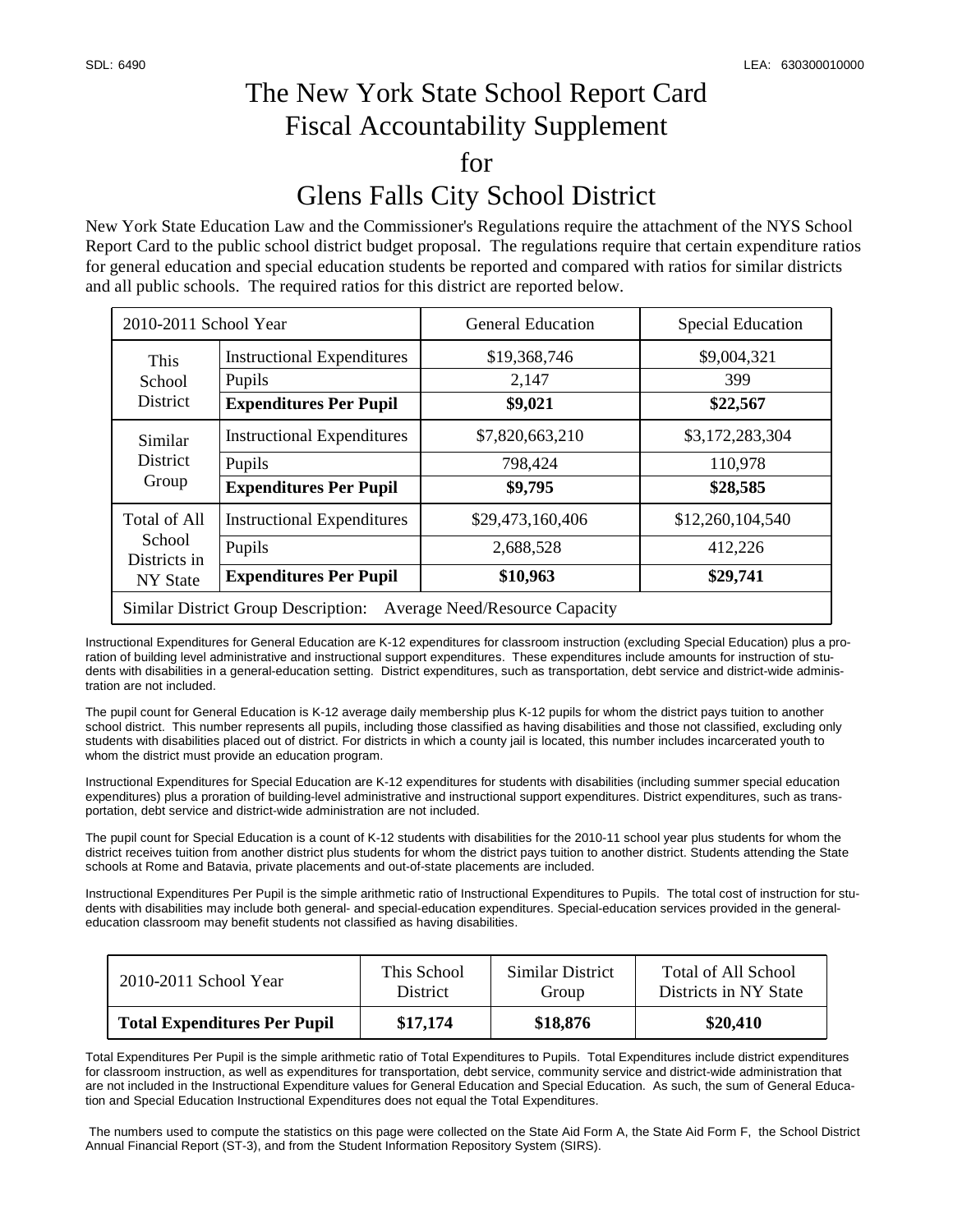## The New York State School Report Card Fiscal Accountability Supplement for Glens Falls City School District

New York State Education Law and the Commissioner's Regulations require the attachment of the NYS School Report Card to the public school district budget proposal. The regulations require that certain expenditure ratios for general education and special education students be reported and compared with ratios for similar districts and all public schools. The required ratios for this district are reported below.

| 2010-2011 School Year                                                               |                                   | <b>General Education</b> | <b>Special Education</b> |  |  |  |
|-------------------------------------------------------------------------------------|-----------------------------------|--------------------------|--------------------------|--|--|--|
| This<br>School<br><b>District</b>                                                   | <b>Instructional Expenditures</b> | \$19,368,746             | \$9,004,321              |  |  |  |
|                                                                                     | Pupils                            | 2,147                    | 399                      |  |  |  |
|                                                                                     | <b>Expenditures Per Pupil</b>     | \$9,021                  | \$22,567                 |  |  |  |
| Similar<br><b>District</b><br>Group                                                 | <b>Instructional Expenditures</b> | \$7,820,663,210          | \$3,172,283,304          |  |  |  |
|                                                                                     | Pupils                            | 798,424                  | 110,978                  |  |  |  |
|                                                                                     | <b>Expenditures Per Pupil</b>     | \$9,795                  | \$28,585                 |  |  |  |
| Total of All<br>School<br>Districts in<br>NY State                                  | <b>Instructional Expenditures</b> | \$29,473,160,406         | \$12,260,104,540         |  |  |  |
|                                                                                     | Pupils                            | 2,688,528                | 412,226                  |  |  |  |
|                                                                                     | <b>Expenditures Per Pupil</b>     | \$10,963                 | \$29,741                 |  |  |  |
| <b>Similar District Group Description:</b><br><b>Average Need/Resource Capacity</b> |                                   |                          |                          |  |  |  |

Instructional Expenditures for General Education are K-12 expenditures for classroom instruction (excluding Special Education) plus a proration of building level administrative and instructional support expenditures. These expenditures include amounts for instruction of students with disabilities in a general-education setting. District expenditures, such as transportation, debt service and district-wide administration are not included.

The pupil count for General Education is K-12 average daily membership plus K-12 pupils for whom the district pays tuition to another school district. This number represents all pupils, including those classified as having disabilities and those not classified, excluding only students with disabilities placed out of district. For districts in which a county jail is located, this number includes incarcerated youth to whom the district must provide an education program.

Instructional Expenditures for Special Education are K-12 expenditures for students with disabilities (including summer special education expenditures) plus a proration of building-level administrative and instructional support expenditures. District expenditures, such as transportation, debt service and district-wide administration are not included.

The pupil count for Special Education is a count of K-12 students with disabilities for the 2010-11 school year plus students for whom the district receives tuition from another district plus students for whom the district pays tuition to another district. Students attending the State schools at Rome and Batavia, private placements and out-of-state placements are included.

Instructional Expenditures Per Pupil is the simple arithmetic ratio of Instructional Expenditures to Pupils. The total cost of instruction for students with disabilities may include both general- and special-education expenditures. Special-education services provided in the generaleducation classroom may benefit students not classified as having disabilities.

| 2010-2011 School Year               | This School     | Similar District | Total of All School   |
|-------------------------------------|-----------------|------------------|-----------------------|
|                                     | <b>District</b> | Group            | Districts in NY State |
| <b>Total Expenditures Per Pupil</b> | \$17,174        | \$18,876         | \$20,410              |

Total Expenditures Per Pupil is the simple arithmetic ratio of Total Expenditures to Pupils. Total Expenditures include district expenditures for classroom instruction, as well as expenditures for transportation, debt service, community service and district-wide administration that are not included in the Instructional Expenditure values for General Education and Special Education. As such, the sum of General Education and Special Education Instructional Expenditures does not equal the Total Expenditures.

 The numbers used to compute the statistics on this page were collected on the State Aid Form A, the State Aid Form F, the School District Annual Financial Report (ST-3), and from the Student Information Repository System (SIRS).